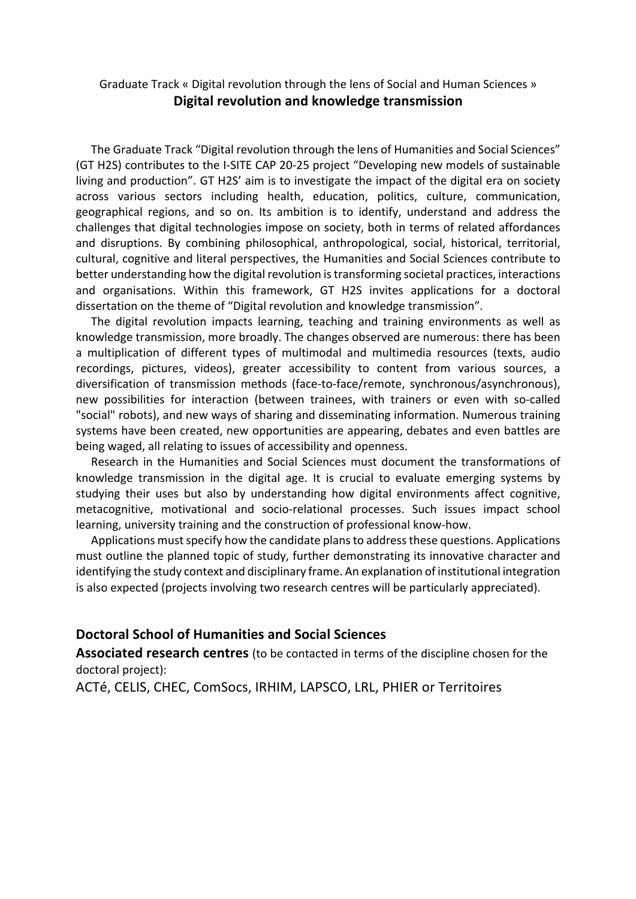## Graduate Track « Digital revolution through the lens of Social and Human Sciences » **Digital revolution and knowledge transmission**

The Graduate Track "Digital revolution through the lens of Humanities and Social Sciences" (GT H2S) contributes to the I-SITE CAP 20-25 project "Developing new models of sustainable living and production". GT H2S' aim is to investigate the impact of the digital era on society across various sectors including health, education, politics, culture, communication, geographical regions, and so on. Its ambition is to identify, understand and address the challenges that digital technologies impose on society, both in terms of related affordances and disruptions. By combining philosophical, anthropological, social, historical, territorial, cultural, cognitive and literal perspectives, the Humanities and Social Sciences contribute to better understanding how the digital revolution is transforming societal practices, interactions and organisations. Within this framework, GT H2S invites applications for a doctoral dissertation on the theme of "Digital revolution and knowledge transmission".

The digital revolution impacts learning, teaching and training environments as well as knowledge transmission, more broadly. The changes observed are numerous: there has been a multiplication of different types of multimodal and multimedia resources (texts, audio recordings, pictures, videos), greater accessibility to content from various sources, a diversification of transmission methods (face-to-face/remote, synchronous/asynchronous), new possibilities for interaction (between trainees, with trainers or even with so-called "social" robots), and new ways of sharing and disseminating information. Numerous training systems have been created, new opportunities are appearing, debates and even battles are being waged, all relating to issues of accessibility and openness.

Research in the Humanities and Social Sciences must document the transformations of knowledge transmission in the digital age. It is crucial to evaluate emerging systems by studying their uses but also by understanding how digital environments affect cognitive, metacognitive, motivational and socio-relational processes. Such issues impact school learning, university training and the construction of professional know-how.

Applications must specify how the candidate plans to addressthese questions. Applications must outline the planned topic of study, further demonstrating its innovative character and identifying the study context and disciplinary frame. An explanation of institutional integration is also expected (projects involving two research centres will be particularly appreciated).

## **Doctoral School of Humanities and Social Sciences**

**Associated research centres** (to be contacted in terms of the discipline chosen for the doctoral project):

ACTé, CELIS, CHEC, ComSocs, IRHIM, LAPSCO, LRL, PHIER or Territoires